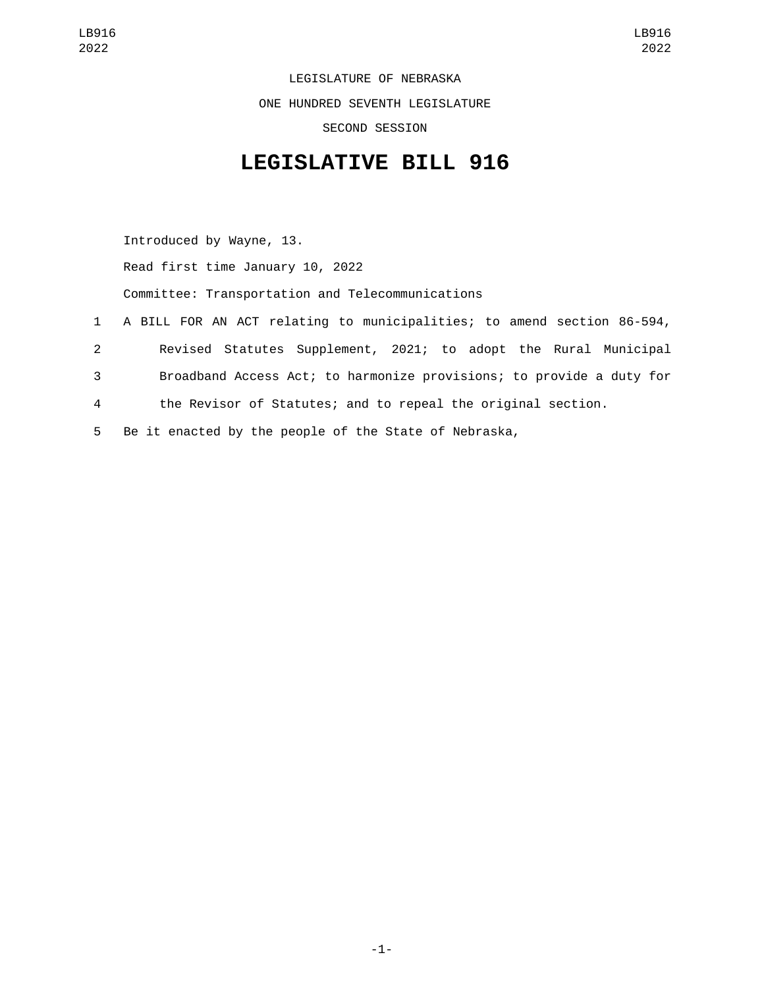LEGISLATURE OF NEBRASKA ONE HUNDRED SEVENTH LEGISLATURE SECOND SESSION

## **LEGISLATIVE BILL 916**

Introduced by Wayne, 13. Read first time January 10, 2022 Committee: Transportation and Telecommunications A BILL FOR AN ACT relating to municipalities; to amend section 86-594, Revised Statutes Supplement, 2021; to adopt the Rural Municipal Broadband Access Act; to harmonize provisions; to provide a duty for the Revisor of Statutes; and to repeal the original section. Be it enacted by the people of the State of Nebraska,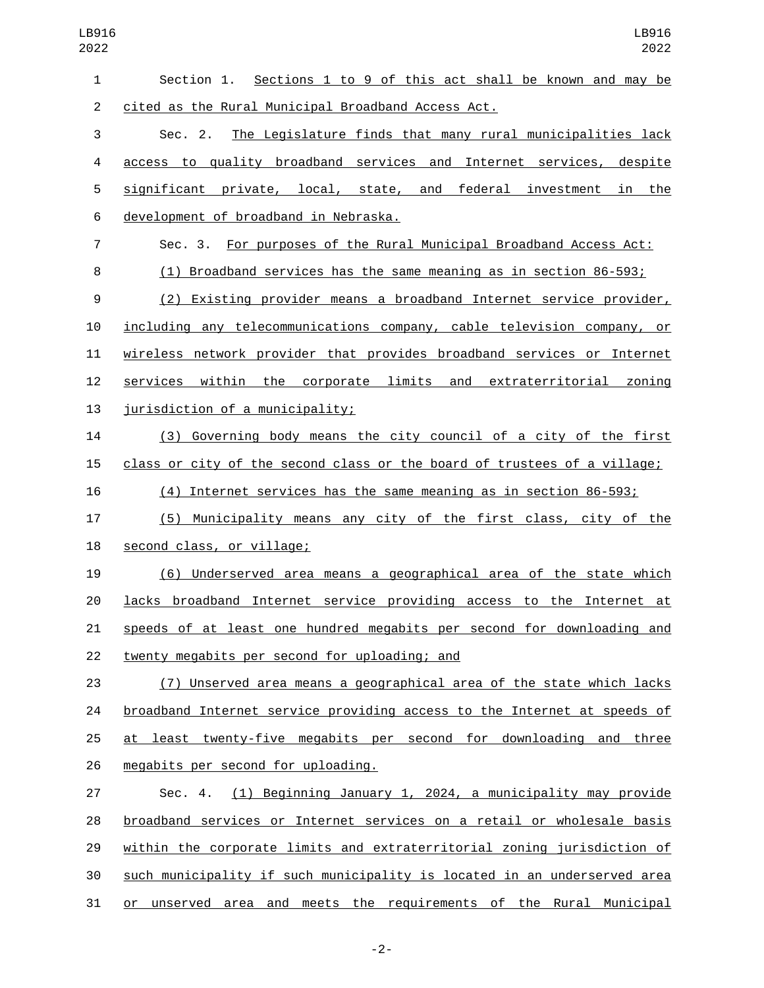| 1              | Section 1. Sections 1 to 9 of this act shall be known and may be         |
|----------------|--------------------------------------------------------------------------|
| $\overline{2}$ | cited as the Rural Municipal Broadband Access Act.                       |
| 3              | Sec. 2. The Legislature finds that many rural municipalities lack        |
| 4              | access to quality broadband services and Internet services, despite      |
| 5              | significant private, local, state, and federal investment in the         |
| 6              | development of broadband in Nebraska.                                    |
| $\overline{7}$ | Sec. 3. For purposes of the Rural Municipal Broadband Access Act:        |
| 8              | (1) Broadband services has the same meaning as in section 86-593;        |
| 9              | (2) Existing provider means a broadband Internet service provider,       |
| 10             | including any telecommunications company, cable television company, or   |
| 11             | wireless network provider that provides broadband services or Internet   |
| 12             | services within the corporate limits and extraterritorial zoning         |
| 13             | jurisdiction of a municipality;                                          |
| 14             | (3) Governing body means the city council of a city of the first         |
| 15             | class or city of the second class or the board of trustees of a village; |
| 16             | (4) Internet services has the same meaning as in section 86-593;         |
| 17             | (5) Municipality means any city of the first class, city of the          |
| 18             | second class, or village;                                                |
| 19             | (6) Underserved area means a geographical area of the state which        |
| 20             | lacks broadband Internet service providing access to the Internet at     |
| 21             | speeds of at least one hundred megabits per second for downloading and   |
| 22             | twenty megabits per second for uploading; and                            |
| 23             | (7) Unserved area means a geographical area of the state which lacks     |
| 24             | broadband Internet service providing access to the Internet at speeds of |
| 25             | at least twenty-five megabits per second for downloading and three       |
| 26             | megabits per second for uploading.                                       |
| 27             | Sec. 4. (1) Beginning January 1, 2024, a municipality may provide        |
| 28             | broadband services or Internet services on a retail or wholesale basis   |
| 29             | within the corporate limits and extraterritorial zoning jurisdiction of  |
| 30             | such municipality if such municipality is located in an underserved area |
| 31             | or unserved area and meets the requirements of the Rural Municipal       |

-2-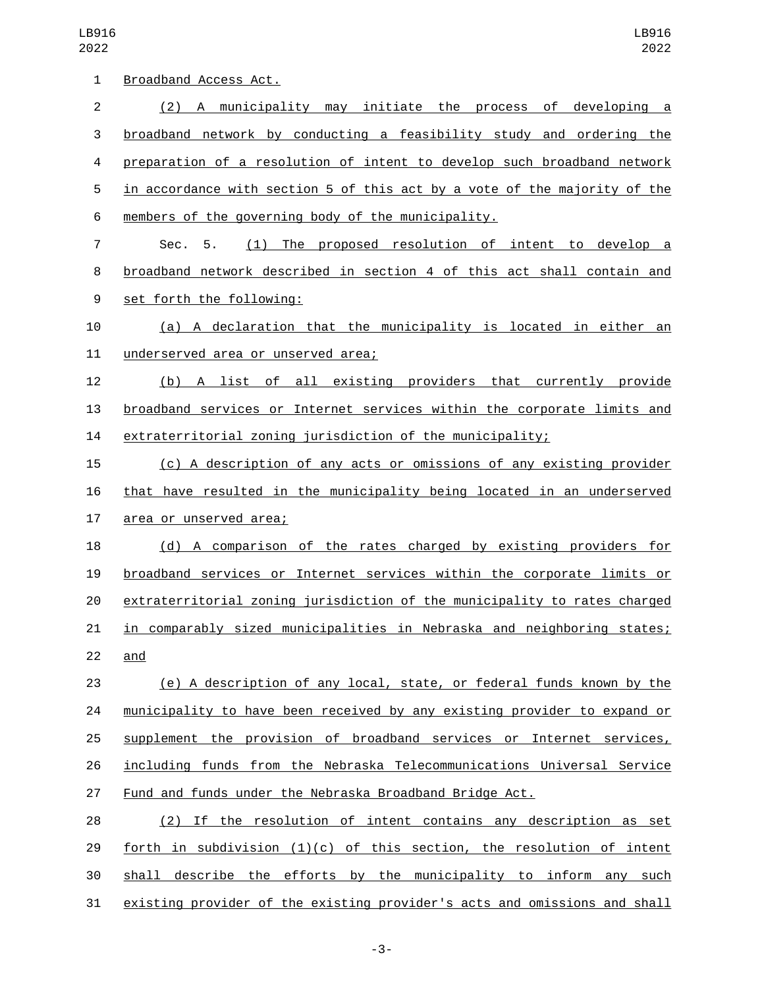| 1              | Broadband Access Act.                                                     |
|----------------|---------------------------------------------------------------------------|
| $\overline{2}$ | (2) A municipality may initiate the process of developing a               |
| 3              | broadband network by conducting a feasibility study and ordering the      |
| 4              | preparation of a resolution of intent to develop such broadband network   |
| 5              | in accordance with section 5 of this act by a vote of the majority of the |
| 6              | members of the governing body of the municipality.                        |
| 7              | (1) The proposed resolution of intent to develop a<br>5.<br>Sec.          |
| 8              | broadband network described in section 4 of this act shall contain and    |
| 9              | set forth the following:                                                  |
| 10             | (a) A declaration that the municipality is located in either an           |
| 11             | underserved area or unserved area;                                        |
| 12             | (b) A list of all existing providers that currently provide               |
| 13             | broadband services or Internet services within the corporate limits and   |
| 14             | extraterritorial zoning jurisdiction of the municipality;                 |
| 15             | (c) A description of any acts or omissions of any existing provider       |
| 16             | that have resulted in the municipality being located in an underserved    |
| 17             | area or unserved area;                                                    |
| 18             | (d) A comparison of the rates charged by existing providers for           |
| 19             | broadband services or Internet services within the corporate limits or    |
| 20             | extraterritorial zoning jurisdiction of the municipality to rates charged |
| 21             | in comparably sized municipalities in Nebraska and neighboring states;    |
| 22             | and                                                                       |
| 23             | (e) A description of any local, state, or federal funds known by the      |
| 24             | municipality to have been received by any existing provider to expand or  |
| 25             | supplement the provision of broadband services or Internet services,      |
| 26             | including funds from the Nebraska Telecommunications Universal Service    |
| 27             | Fund and funds under the Nebraska Broadband Bridge Act.                   |
| 28             | (2) If the resolution of intent contains any description as set           |
| 29             | forth in subdivision $(1)(c)$ of this section, the resolution of intent   |
| 30             | shall describe the efforts by the municipality to inform any such         |
| 31             | existing provider of the existing provider's acts and omissions and shall |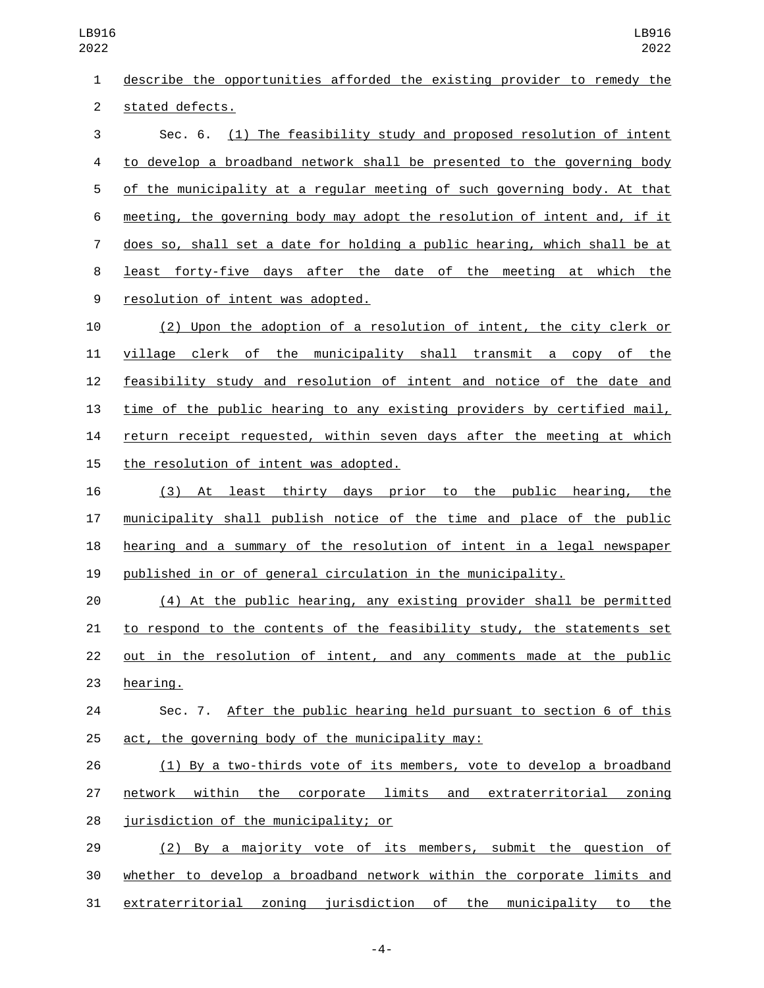describe the opportunities afforded the existing provider to remedy the 2 stated defects.

 Sec. 6. (1) The feasibility study and proposed resolution of intent to develop a broadband network shall be presented to the governing body of the municipality at a regular meeting of such governing body. At that meeting, the governing body may adopt the resolution of intent and, if it does so, shall set a date for holding a public hearing, which shall be at least forty-five days after the date of the meeting at which the 9 resolution of intent was adopted.

 (2) Upon the adoption of a resolution of intent, the city clerk or village clerk of the municipality shall transmit a copy of the feasibility study and resolution of intent and notice of the date and time of the public hearing to any existing providers by certified mail, return receipt requested, within seven days after the meeting at which 15 the resolution of intent was adopted.

 (3) At least thirty days prior to the public hearing, the municipality shall publish notice of the time and place of the public hearing and a summary of the resolution of intent in a legal newspaper published in or of general circulation in the municipality.

 (4) At the public hearing, any existing provider shall be permitted to respond to the contents of the feasibility study, the statements set out in the resolution of intent, and any comments made at the public 23 hearing.

 Sec. 7. After the public hearing held pursuant to section 6 of this 25  $act,$  the governing body of the municipality may:

 (1) By a two-thirds vote of its members, vote to develop a broadband network within the corporate limits and extraterritorial zoning 28 jurisdiction of the municipality; or

 (2) By a majority vote of its members, submit the question of whether to develop a broadband network within the corporate limits and extraterritorial zoning jurisdiction of the municipality to the

-4-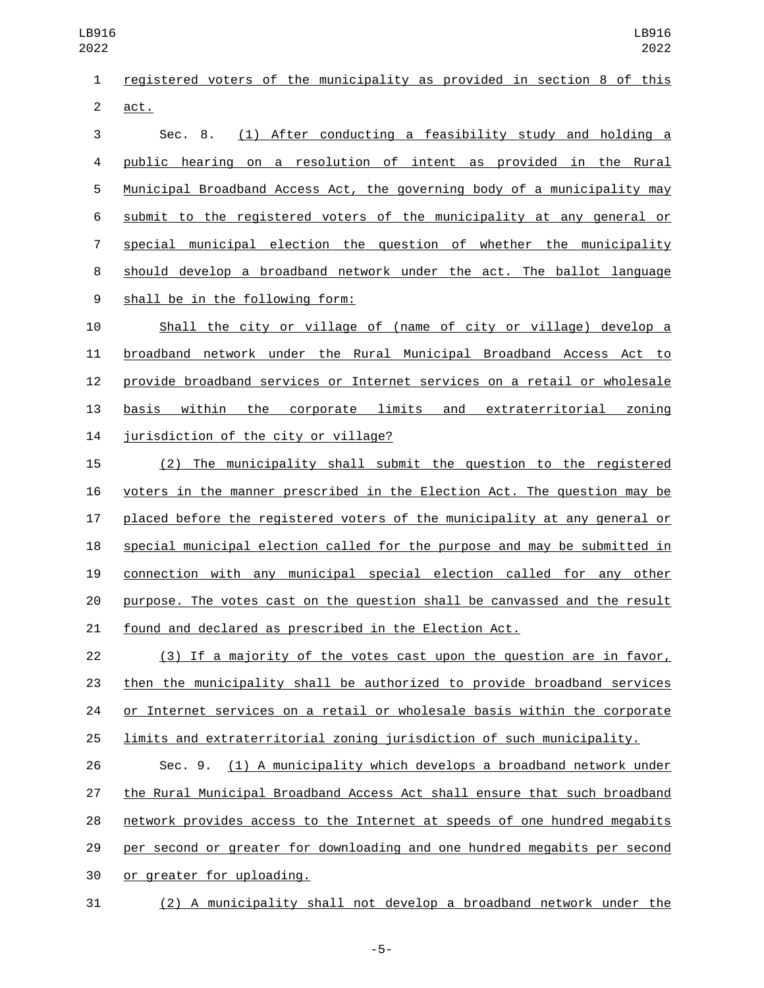registered voters of the municipality as provided in section 8 of this 2 act.

 Sec. 8. (1) After conducting a feasibility study and holding a public hearing on a resolution of intent as provided in the Rural Municipal Broadband Access Act, the governing body of a municipality may submit to the registered voters of the municipality at any general or 7 special municipal election the question of whether the municipality should develop a broadband network under the act. The ballot language 9 shall be in the following form:

 Shall the city or village of (name of city or village) develop a broadband network under the Rural Municipal Broadband Access Act to provide broadband services or Internet services on a retail or wholesale basis within the corporate limits and extraterritorial zoning 14 jurisdiction of the city or village?

 (2) The municipality shall submit the question to the registered voters in the manner prescribed in the Election Act. The question may be placed before the registered voters of the municipality at any general or special municipal election called for the purpose and may be submitted in connection with any municipal special election called for any other purpose. The votes cast on the question shall be canvassed and the result found and declared as prescribed in the Election Act.

 (3) If a majority of the votes cast upon the question are in favor, then the municipality shall be authorized to provide broadband services or Internet services on a retail or wholesale basis within the corporate limits and extraterritorial zoning jurisdiction of such municipality.

 Sec. 9. (1) A municipality which develops a broadband network under the Rural Municipal Broadband Access Act shall ensure that such broadband network provides access to the Internet at speeds of one hundred megabits per second or greater for downloading and one hundred megabits per second 30 or greater for uploading.

(2) A municipality shall not develop a broadband network under the